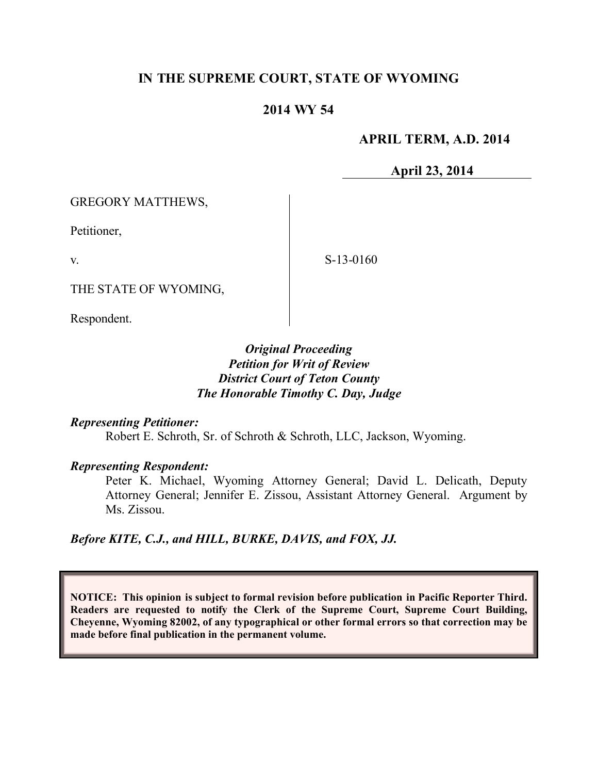# **IN THE SUPREME COURT, STATE OF WYOMING**

## **2014 WY 54**

### **APRIL TERM, A.D. 2014**

**April 23, 2014**

GREGORY MATTHEWS,

Petitioner,

v.

S-13-0160

THE STATE OF WYOMING,

Respondent.

### *Original Proceeding Petition for Writ of Review District Court of Teton County The Honorable Timothy C. Day, Judge*

#### *Representing Petitioner:*

Robert E. Schroth, Sr. of Schroth & Schroth, LLC, Jackson, Wyoming.

#### *Representing Respondent:*

Peter K. Michael, Wyoming Attorney General; David L. Delicath, Deputy Attorney General; Jennifer E. Zissou, Assistant Attorney General. Argument by Ms. Zissou.

*Before KITE, C.J., and HILL, BURKE, DAVIS, and FOX, JJ.*

**NOTICE: This opinion is subject to formal revision before publication in Pacific Reporter Third. Readers are requested to notify the Clerk of the Supreme Court, Supreme Court Building, Cheyenne, Wyoming 82002, of any typographical or other formal errors so that correction may be made before final publication in the permanent volume.**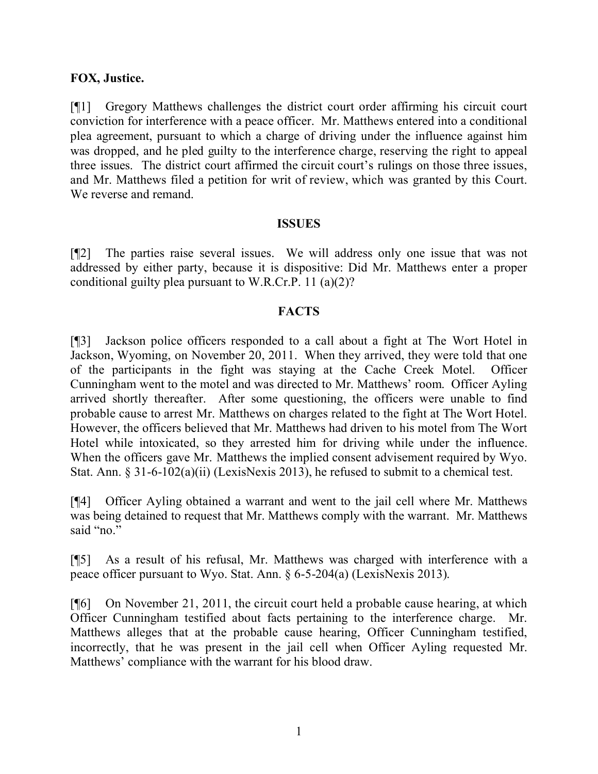### **FOX, Justice.**

[¶1] Gregory Matthews challenges the district court order affirming his circuit court conviction for interference with a peace officer. Mr. Matthews entered into a conditional plea agreement, pursuant to which a charge of driving under the influence against him was dropped, and he pled guilty to the interference charge, reserving the right to appeal three issues. The district court affirmed the circuit court's rulings on those three issues, and Mr. Matthews filed a petition for writ of review, which was granted by this Court. We reverse and remand.

#### **ISSUES**

[¶2] The parties raise several issues. We will address only one issue that was not addressed by either party, because it is dispositive: Did Mr. Matthews enter a proper conditional guilty plea pursuant to W.R.Cr.P. 11 (a)(2)?

### **FACTS**

[¶3] Jackson police officers responded to a call about a fight at The Wort Hotel in Jackson, Wyoming, on November 20, 2011. When they arrived, they were told that one of the participants in the fight was staying at the Cache Creek Motel. Officer Cunningham went to the motel and was directed to Mr. Matthews' room. Officer Ayling arrived shortly thereafter. After some questioning, the officers were unable to find probable cause to arrest Mr. Matthews on charges related to the fight at The Wort Hotel. However, the officers believed that Mr. Matthews had driven to his motel from The Wort Hotel while intoxicated, so they arrested him for driving while under the influence. When the officers gave Mr. Matthews the implied consent advisement required by Wyo. Stat. Ann. § 31-6-102(a)(ii) (LexisNexis 2013), he refused to submit to a chemical test.

[¶4] Officer Ayling obtained a warrant and went to the jail cell where Mr. Matthews was being detained to request that Mr. Matthews comply with the warrant. Mr. Matthews said "no."

[¶5] As a result of his refusal, Mr. Matthews was charged with interference with a peace officer pursuant to Wyo. Stat. Ann. § 6-5-204(a) (LexisNexis 2013).

[¶6] On November 21, 2011, the circuit court held a probable cause hearing, at which Officer Cunningham testified about facts pertaining to the interference charge. Mr. Matthews alleges that at the probable cause hearing, Officer Cunningham testified, incorrectly, that he was present in the jail cell when Officer Ayling requested Mr. Matthews' compliance with the warrant for his blood draw.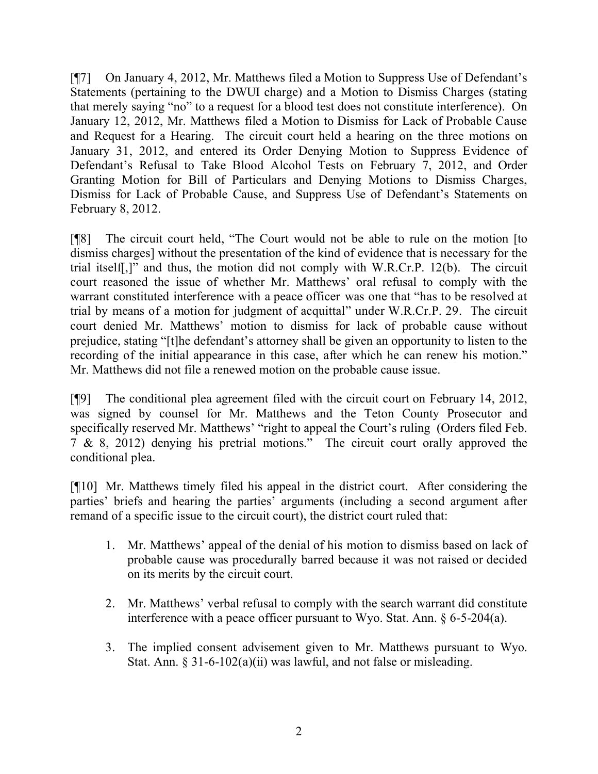[¶7] On January 4, 2012, Mr. Matthews filed a Motion to Suppress Use of Defendant's Statements (pertaining to the DWUI charge) and a Motion to Dismiss Charges (stating that merely saying "no" to a request for a blood test does not constitute interference). On January 12, 2012, Mr. Matthews filed a Motion to Dismiss for Lack of Probable Cause and Request for a Hearing. The circuit court held a hearing on the three motions on January 31, 2012, and entered its Order Denying Motion to Suppress Evidence of Defendant's Refusal to Take Blood Alcohol Tests on February 7, 2012, and Order Granting Motion for Bill of Particulars and Denying Motions to Dismiss Charges, Dismiss for Lack of Probable Cause, and Suppress Use of Defendant's Statements on February 8, 2012.

[¶8] The circuit court held, "The Court would not be able to rule on the motion [to dismiss charges] without the presentation of the kind of evidence that is necessary for the trial itself[,]" and thus, the motion did not comply with W.R.Cr.P. 12(b). The circuit court reasoned the issue of whether Mr. Matthews' oral refusal to comply with the warrant constituted interference with a peace officer was one that "has to be resolved at trial by means of a motion for judgment of acquittal" under W.R.Cr.P. 29. The circuit court denied Mr. Matthews' motion to dismiss for lack of probable cause without prejudice, stating "[t]he defendant's attorney shall be given an opportunity to listen to the recording of the initial appearance in this case, after which he can renew his motion." Mr. Matthews did not file a renewed motion on the probable cause issue.

[¶9] The conditional plea agreement filed with the circuit court on February 14, 2012, was signed by counsel for Mr. Matthews and the Teton County Prosecutor and specifically reserved Mr. Matthews' "right to appeal the Court's ruling (Orders filed Feb. 7 & 8, 2012) denying his pretrial motions." The circuit court orally approved the conditional plea.

[¶10] Mr. Matthews timely filed his appeal in the district court. After considering the parties' briefs and hearing the parties' arguments (including a second argument after remand of a specific issue to the circuit court), the district court ruled that:

- 1. Mr. Matthews' appeal of the denial of his motion to dismiss based on lack of probable cause was procedurally barred because it was not raised or decided on its merits by the circuit court.
- 2. Mr. Matthews' verbal refusal to comply with the search warrant did constitute interference with a peace officer pursuant to Wyo. Stat. Ann. § 6-5-204(a).
- 3. The implied consent advisement given to Mr. Matthews pursuant to Wyo. Stat. Ann. § 31-6-102(a)(ii) was lawful, and not false or misleading.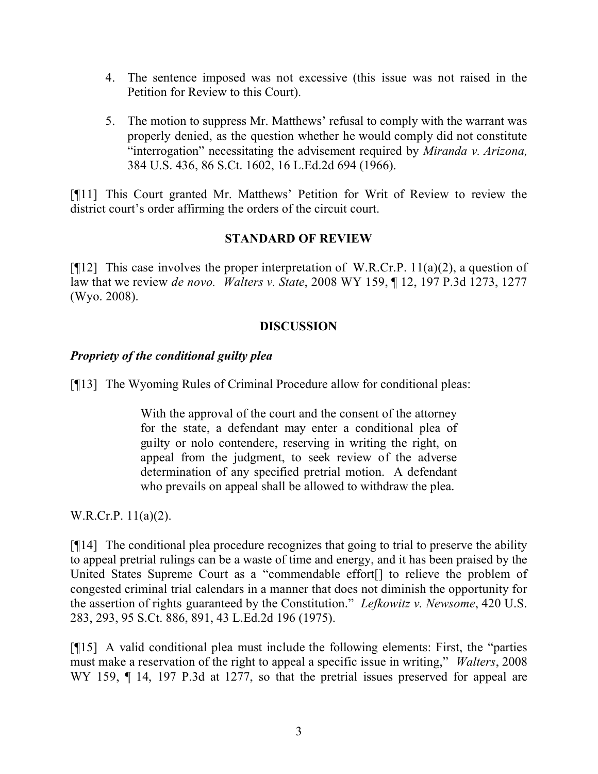- 4. The sentence imposed was not excessive (this issue was not raised in the Petition for Review to this Court).
- 5. The motion to suppress Mr. Matthews' refusal to comply with the warrant was properly denied, as the question whether he would comply did not constitute "interrogation" necessitating the advisement required by *Miranda v. Arizona,* 384 U.S. 436, 86 S.Ct. 1602, 16 L.Ed.2d 694 (1966).

[¶11] This Court granted Mr. Matthews' Petition for Writ of Review to review the district court's order affirming the orders of the circuit court.

## **STANDARD OF REVIEW**

[ $[12]$ ] This case involves the proper interpretation of W.R.Cr.P. 11(a)(2), a question of law that we review *de novo. Walters v. State*, 2008 WY 159, ¶ 12, 197 P.3d 1273, 1277 (Wyo. 2008).

## **DISCUSSION**

### *Propriety of the conditional guilty plea*

[¶13] The Wyoming Rules of Criminal Procedure allow for conditional pleas:

With the approval of the court and the consent of the attorney for the state, a defendant may enter a conditional plea of guilty or nolo contendere, reserving in writing the right, on appeal from the judgment, to seek review of the adverse determination of any specified pretrial motion. A defendant who prevails on appeal shall be allowed to withdraw the plea.

W.R.Cr.P. 11(a)(2).

[¶14] The conditional plea procedure recognizes that going to trial to preserve the ability to appeal pretrial rulings can be a waste of time and energy, and it has been praised by the United States Supreme Court as a "commendable effort[] to relieve the problem of congested criminal trial calendars in a manner that does not diminish the opportunity for the assertion of rights guaranteed by the Constitution." *Lefkowitz v. Newsome*, 420 U.S. 283, 293, 95 S.Ct. 886, 891, 43 L.Ed.2d 196 (1975).

[¶15] A valid conditional plea must include the following elements: First, the "parties must make a reservation of the right to appeal a specific issue in writing," *Walters*, 2008 WY 159,  $\P$  14, 197 P.3d at 1277, so that the pretrial issues preserved for appeal are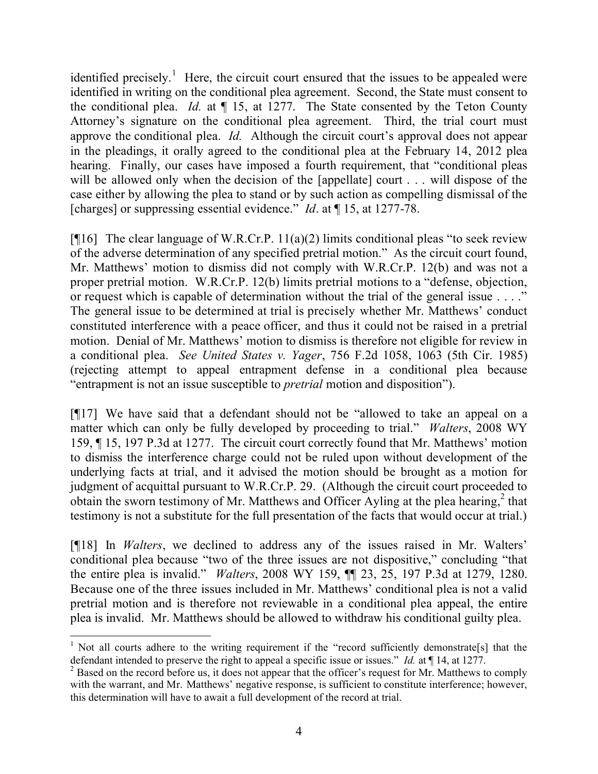identified precisely.<sup>1</sup> Here, the circuit court ensured that the issues to be appealed were identified in writing on the conditional plea agreement. Second, the State must consent to the conditional plea. *Id.* at ¶ 15, at 1277. The State consented by the Teton County Attorney's signature on the conditional plea agreement. Third, the trial court must approve the conditional plea. *Id.* Although the circuit court's approval does not appear in the pleadings, it orally agreed to the conditional plea at the February 14, 2012 plea hearing. Finally, our cases have imposed a fourth requirement, that "conditional pleas" will be allowed only when the decision of the [appellate] court . . . will dispose of the case either by allowing the plea to stand or by such action as compelling dismissal of the [charges] or suppressing essential evidence." *Id.* at  $\P$  15, at 1277-78.

[ $[16]$ ] The clear language of W.R.Cr.P. 11(a)(2) limits conditional pleas "to seek review of the adverse determination of any specified pretrial motion." As the circuit court found, Mr. Matthews' motion to dismiss did not comply with W.R.Cr.P. 12(b) and was not a proper pretrial motion. W.R.Cr.P. 12(b) limits pretrial motions to a "defense, objection, or request which is capable of determination without the trial of the general issue . . . ." The general issue to be determined at trial is precisely whether Mr. Matthews' conduct constituted interference with a peace officer, and thus it could not be raised in a pretrial motion. Denial of Mr. Matthews' motion to dismiss is therefore not eligible for review in a conditional plea. *See United States v. Yager*, 756 F.2d 1058, 1063 (5th Cir. 1985) (rejecting attempt to appeal entrapment defense in a conditional plea because "entrapment is not an issue susceptible to *pretrial* motion and disposition").

[¶17] We have said that a defendant should not be "allowed to take an appeal on a matter which can only be fully developed by proceeding to trial." *Walters*, 2008 WY 159, ¶ 15, 197 P.3d at 1277. The circuit court correctly found that Mr. Matthews' motion to dismiss the interference charge could not be ruled upon without development of the underlying facts at trial, and it advised the motion should be brought as a motion for judgment of acquittal pursuant to W.R.Cr.P. 29. (Although the circuit court proceeded to obtain the sworn testimony of Mr. Matthews and Officer Ayling at the plea hearing, $<sup>2</sup>$  that</sup> testimony is not a substitute for the full presentation of the facts that would occur at trial.)

[¶18] In *Walters*, we declined to address any of the issues raised in Mr. Walters' conditional plea because "two of the three issues are not dispositive," concluding "that the entire plea is invalid." *Walters*, 2008 WY 159, ¶¶ 23, 25, 197 P.3d at 1279, 1280. Because one of the three issues included in Mr. Matthews' conditional plea is not a valid pretrial motion and is therefore not reviewable in a conditional plea appeal, the entire plea is invalid. Mr. Matthews should be allowed to withdraw his conditional guilty plea.

 <sup>1</sup> Not all courts adhere to the writing requirement if the "record sufficiently demonstrate[s] that the defendant intended to preserve the right to appeal a specific issue or issues." *Id.* at ¶ 14, at 1277.

<sup>&</sup>lt;sup>2</sup> Based on the record before us, it does not appear that the officer's request for Mr. Matthews to comply with the warrant, and Mr. Matthews' negative response, is sufficient to constitute interference; however, this determination will have to await a full development of the record at trial.